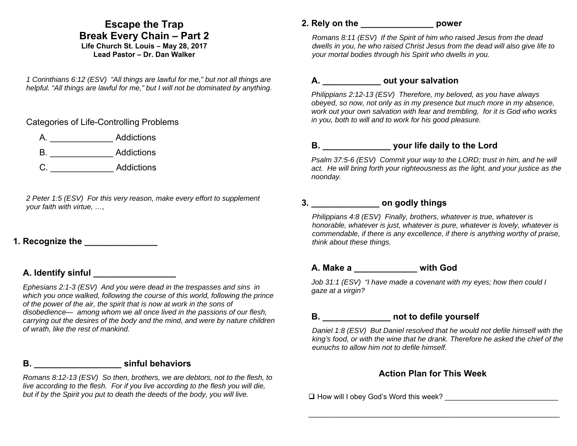## **Escape the Trap Break Every Chain – Part 2**

#### **Life Church St. Louis** *–* **May 28, 2017 Lead Pastor – Dr. Dan Walker**

*1 Corinthians 6:12 (ESV) "All things are lawful for me," but not all things are helpful. "All things are lawful for me," but I will not be dominated by anything.* 

Categories of Life-Controlling Problems

|  | Addictions |
|--|------------|
|  |            |

- B. \_\_\_\_\_\_\_\_\_\_\_\_\_ Addictions
- C. \_\_\_\_\_\_\_\_\_\_\_\_\_ Addictions

*2 Peter 1:5 (ESV) For this very reason, make every effort to supplement your faith with virtue, …,* 

## **1. Recognize the**

## **A. Identify sinful \_\_\_\_\_\_\_\_\_\_\_\_\_\_\_\_\_**

*Ephesians 2:1-3 (ESV) And you were dead in the trespasses and sins in which you once walked, following the course of this world, following the prince of the power of the air, the spirit that is now at work in the sons of disobedience— among whom we all once lived in the passions of our flesh, carrying out the desires of the body and the mind, and were by nature children of wrath, like the rest of mankind.* 

## **B. \_\_\_\_\_\_\_\_\_\_\_\_\_\_\_\_\_\_ sinful behaviors**

*Romans 8:12-13 (ESV) So then, brothers, we are debtors, not to the flesh, to live according to the flesh. For if you live according to the flesh you will die, but if by the Spirit you put to death the deeds of the body, you will live.* 

#### **2. Rely on the \_\_\_\_\_\_\_\_\_\_\_\_\_\_\_ power**

*Romans 8:11 (ESV) If the Spirit of him who raised Jesus from the dead dwells in you, he who raised Christ Jesus from the dead will also give life to your mortal bodies through his Spirit who dwells in you.* 

#### **A. \_\_\_\_\_\_\_\_\_\_\_\_ out your salvation**

*Philippians 2:12-13 (ESV) Therefore, my beloved, as you have always obeyed, so now, not only as in my presence but much more in my absence, work out your own salvation with fear and trembling, for it is God who works in you, both to will and to work for his good pleasure.* 

## **B. \_\_\_\_\_\_\_\_\_\_\_\_\_\_ your life daily to the Lord**

*Psalm 37:5-6 (ESV) Commit your way to the LORD; trust in him, and he will act. He will bring forth your righteousness as the light, and your justice as the noonday.*

#### **3. \_\_\_\_\_\_\_\_\_\_\_\_\_\_ on godly things**

*Philippians 4:8 (ESV) Finally, brothers, whatever is true, whatever is honorable, whatever is just, whatever is pure, whatever is lovely, whatever is commendable, if there is any excellence, if there is anything worthy of praise, think about these things.* 

#### **A. Make a \_\_\_\_\_\_\_\_\_\_\_\_\_ with God**

*Job 31:1 (ESV) "I have made a covenant with my eyes; how then could I gaze at a virgin?* 

# **B. \_\_\_\_\_\_\_\_\_\_\_\_\_\_ not to defile yourself**

*Daniel 1:8 (ESV) But Daniel resolved that he would not defile himself with the king's food, or with the wine that he drank. Therefore he asked the chief of the eunuchs to allow him not to defile himself.* 

## **Action Plan for This Week**

 $\Box$  How will I obey God's Word this week?